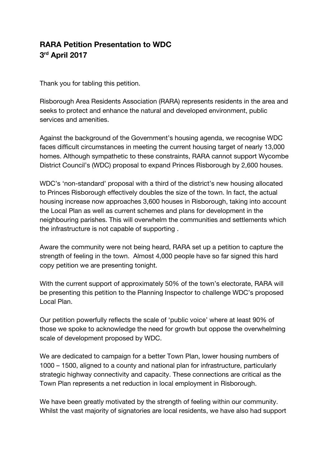## **RARA Petition Presentation to WDC 3 rd April 2017**

Thank you for tabling this petition.

Risborough Area Residents Association (RARA) represents residents in the area and seeks to protect and enhance the natural and developed environment, public services and amenities.

Against the background of the Government's housing agenda, we recognise WDC faces difficult circumstances in meeting the current housing target of nearly 13,000 homes. Although sympathetic to these constraints, RARA cannot support Wycombe District Council's (WDC) proposal to expand Princes Risborough by 2,600 houses.

WDC's 'non-standard' proposal with a third of the district's new housing allocated to Princes Risborough effectively doubles the size of the town. In fact, the actual housing increase now approaches 3,600 houses in Risborough, taking into account the Local Plan as well as current schemes and plans for development in the neighbouring parishes. This will overwhelm the communities and settlements which the infrastructure is not capable of supporting .

Aware the community were not being heard, RARA set up a petition to capture the strength of feeling in the town. Almost 4,000 people have so far signed this hard copy petition we are presenting tonight.

With the current support of approximately 50% of the town's electorate, RARA will be presenting this petition to the Planning Inspector to challenge WDC's proposed Local Plan.

Our petition powerfully reflects the scale of 'public voice' where at least 90% of those we spoke to acknowledge the need for growth but oppose the overwhelming scale of development proposed by WDC.

We are dedicated to campaign for a better Town Plan, lower housing numbers of 1000 – 1500, aligned to a county and national plan for infrastructure, particularly strategic highway connectivity and capacity. These connections are critical as the Town Plan represents a net reduction in local employment in Risborough.

We have been greatly motivated by the strength of feeling within our community. Whilst the vast majority of signatories are local residents, we have also had support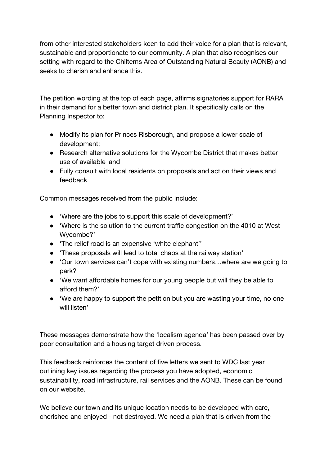from other interested stakeholders keen to add their voice for a plan that is relevant, sustainable and proportionate to our community. A plan that also recognises our setting with regard to the Chilterns Area of Outstanding Natural Beauty (AONB) and seeks to cherish and enhance this.

The petition wording at the top of each page, affirms signatories support for RARA in their demand for a better town and district plan. It specifically calls on the Planning Inspector to:

- Modify its plan for Princes Risborough, and propose a lower scale of development;
- Research alternative solutions for the Wycombe District that makes better use of available land
- Fully consult with local residents on proposals and act on their views and feedback

Common messages received from the public include:

- 'Where are the jobs to support this scale of development?'
- 'Where is the solution to the current traffic congestion on the 4010 at West Wycombe?'
- 'The relief road is an expensive 'white elephant''
- 'These proposals will lead to total chaos at the railway station'
- 'Our town services can't cope with existing numbers...where are we going to park?
- 'We want affordable homes for our young people but will they be able to afford them?'
- 'We are happy to support the petition but you are wasting your time, no one will listen'

These messages demonstrate how the 'localism agenda' has been passed over by poor consultation and a housing target driven process.

This feedback reinforces the content of five letters we sent to WDC last year outlining key issues regarding the process you have adopted, economic sustainability, road infrastructure, rail services and the AONB. These can be found on our website.

We believe our town and its unique location needs to be developed with care, cherished and enjoyed - not destroyed. We need a plan that is driven from the